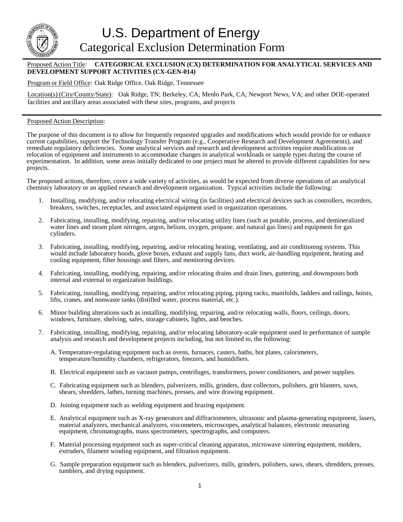

## Proposed Action Title: **CATEGORICAL EXCLUSION (CX) DETERMINATION FOR ANALYTICAL SERVICES AND DEVELOPMENT SUPPORT ACTIVITIES (CX-GEN-014)**

## Program or Field Office: Oak Ridge Office, Oak Ridge, Tennessee

Location(s) (City/County/State): Oak Ridge, TN; Berkeley, CA; Menlo Park, CA; Newport News, VA; and other DOE-operated facilities and ancillary areas associated with these sites, programs, and projects

## Proposed Action Description:

The purpose of this document is to allow for frequently requested upgrades and modifications which would provide for or enhance current capabilities, support the Technology Transfer Program (e.g., Cooperative Research and Development Agreements), and remediate regulatory deficiencies. Some analytical services and research and development activities require modification or relocation of equipment and instruments to accommodate changes in analytical workloads or sample types during the course of experimentation. In addition, some areas initially dedicated to one project must be altered to provide different capabilities for new projects.

The proposed actions, therefore, cover a wide variety of activities, as would be expected from diverse operations of an analytical chemistry laboratory or an applied research and development organization. Typical activities include the following:

- 1. Installing, modifying, and/or relocating electrical wiring (in facilities) and electrical devices such as controllers, recorders, breakers, switches, receptacles, and associated equipment used in organization operations.
- 2. Fabricating, installing, modifying, repairing, and/or relocating utility lines (such as potable, process, and demineralized water lines and steam plant nitrogen, argon, helium, oxygen, propane, and natural gas lines) and equipment for gas cylinders.
- 3. Fabricating, installing, modifying, repairing, and/or relocating heating, ventilating, and air conditioning systems. This would include laboratory hoods, glove boxes, exhaust and supply fans, duct work, air-handling equipment, heating and cooling equipment, filter housings and filters, and monitoring devices.
- 4. Fabricating, installing, modifying, repairing, and/or relocating drains and drain lines, guttering, and downspouts both internal and external to organization buildings.
- 5. Fabricating, installing, modifying, repairing, and/or relocating piping, piping racks, manifolds, ladders and railings, hoists, lifts, cranes, and nonwaste tanks (distilled water, process material, etc.).
- 6. Minor building alterations such as installing, modifying, repairing, and/or relocating walls, floors, ceilings, doors, windows, furniture, shelving, safes, storage cabinets, lights, and benches.
- 7. Fabricating, installing, modifying, repairing, and/or relocating laboratory-scale equipment used in performance of sample analysis and research and development projects including, but not limited to, the following:
	- A. Temperature-regulating equipment such as ovens, furnaces, casters, baths, hot plates, calorimeters, temperature/humidity chambers, refrigerators, freezers, and humidifiers.
	- B. Electrical equipment such as vacuum pumps, centrifuges, transformers, power conditioners, and power supplies.
	- C. Fabricating equipment such as blenders, pulverizers, mills, grinders, dust collectors, polishers, grit blasters, saws, shears, shredders, lathes, turning machines, presses, and wire drawing equipment.
	- D. Joining equipment such as welding equipment and brazing equipment.
	- E. Analytical equipment such as X-ray generators and diffractometers, ultrasonic and plasma-generating equipment, lasers, material analyzers, mechanical analyzers, viscometers, microscopes, analytical balances, electronic measuring equipment, chromatographs, mass spectrometers, spectrographs, and computers.
	- F. Material processing equipment such as super-critical cleaning apparatus, microwave sintering equipment, molders, extruders, filament winding equipment, and filtration equipment.
	- G. Sample preparation equipment such as blenders, pulverizers, mills, grinders, polishers, saws, shears, shredders, presses, tumblers, and drying equipment.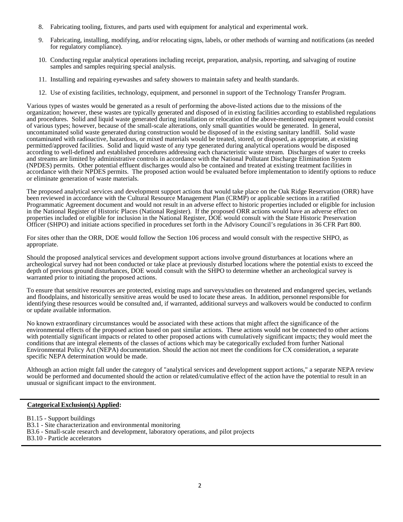- 8. Fabricating tooling, fixtures, and parts used with equipment for analytical and experimental work.
- 9. Fabricating, installing, modifying, and/or relocating signs, labels, or other methods of warning and notifications (as needed for regulatory compliance).
- 10. Conducting regular analytical operations including receipt, preparation, analysis, reporting, and salvaging of routine samples and samples requiring special analysis.
- 11. Installing and repairing eyewashes and safety showers to maintain safety and health standards.
- 12. Use of existing facilities, technology, equipment, and personnel in support of the Technology Transfer Program.

Various types of wastes would be generated as a result of performing the above-listed actions due to the missions of the organization; however, these wastes are typically generated and disposed of in existing facilities according to established regulations and procedures. Solid and liquid waste generated during installation or relocation of the above-mentioned equipment would consist of various types; however, because of the small-scale alterations, only small quantities would be generated. In general, uncontaminated solid waste generated during construction would be disposed of in the existing sanitary landfill. Solid waste contaminated with radioactive, hazardous, or mixed materials would be treated, stored, or disposed, as appropriate, at existing permitted/approved facilities. Solid and liquid waste of any type generated during analytical operations would be disposed according to well-defined and established procedures addressing each characteristic waste stream. Discharges of water to creeks and streams are limited by administrative controls in accordance with the National Pollutant Discharge Elimination System (NPDES) permits. Other potential effluent discharges would also be contained and treated at existing treatment facilities in accordance with their NPDES permits. The proposed action would be evaluated before implementation to identify options to reduce or eliminate generation of waste materials.

The proposed analytical services and development support actions that would take place on the Oak Ridge Reservation (ORR) have been reviewed in accordance with the Cultural Resource Management Plan (CRMP) or applicable sections in a ratified Programmatic Agreement document and would not result in an adverse effect to historic properties included or eligible for inclusion in the National Register of Historic Places (National Register). If the proposed ORR actions would have an adverse effect on properties included or eligible for inclusion in the National Register, DOE would consult with the State Historic Preservation Officer (SHPO) and initiate actions specified in procedures set forth in the Advisory Council's regulations in 36 CFR Part 800.

For sites other than the ORR, DOE would follow the Section 106 process and would consult with the respective SHPO, as appropriate.

Should the proposed analytical services and development support actions involve ground disturbances at locations where an archeological survey had not been conducted or take place at previously disturbed locations where the potential exists to exceed the depth of previous ground disturbances, DOE would consult with the SHPO to determine whether an archeological survey is warranted prior to initiating the proposed actions.

To ensure that sensitive resources are protected, existing maps and surveys/studies on threatened and endangered species, wetlands and floodplains, and historically sensitive areas would be used to locate these areas. In addition, personnel responsible for identifying these resources would be consulted and, if warranted, additional surveys and walkovers would be conducted to confirm or update available information.

No known extraordinary circumstances would be associated with these actions that might affect the significance of the environmental effects of the proposed action based on past similar actions. These actions would not be connected to other actions with potentially significant impacts or related to other proposed actions with cumulatively significant impacts; they would meet the conditions that are integral elements of the classes of actions which may be categorically excluded from further National Environmental Policy Act (NEPA) documentation. Should the action not meet the conditions for CX consideration, a separate specific NEPA determination would be made.

Although an action might fall under the category of "analytical services and development support actions," a separate NEPA review would be performed and documented should the action or related/cumulative effect of the action have the potential to result in an unusual or significant impact to the environment.

## **Categorical Exclusion(s) Applied:**

- B1.15 Support buildings
- B3.1 Site characterization and environmental monitoring
- B3.6 Small-scale research and development, laboratory operations, and pilot projects
- B3.10 Particle accelerators